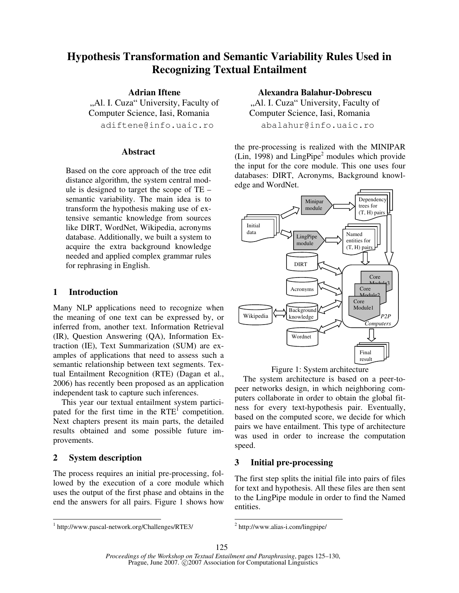# **Hypothesis Transformation and Semantic Variability Rules Used in Recognizing Textual Entailment**

**Adrian Iftene** "Al. I. Cuza" University, Faculty of Computer Science, Iasi, Romania adiftene@info.uaic.ro

## **Abstract**

Based on the core approach of the tree edit distance algorithm, the system central module is designed to target the scope of TE – semantic variability. The main idea is to transform the hypothesis making use of extensive semantic knowledge from sources like DIRT, WordNet, Wikipedia, acronyms database. Additionally, we built a system to acquire the extra background knowledge needed and applied complex grammar rules for rephrasing in English.

## **1 Introduction**

Many NLP applications need to recognize when the meaning of one text can be expressed by, or inferred from, another text. Information Retrieval (IR), Question Answering (QA), Information Extraction (IE), Text Summarization (SUM) are examples of applications that need to assess such a semantic relationship between text segments. Textual Entailment Recognition (RTE) (Dagan et al., 2006) has recently been proposed as an application independent task to capture such inferences.

This year our textual entailment system participated for the first time in the RTE<sup>1</sup> competition. Next chapters present its main parts, the detailed results obtained and some possible future improvements.

## **2 System description**

The process requires an initial pre-processing, followed by the execution of a core module which uses the output of the first phase and obtains in the end the answers for all pairs. Figure 1 shows how

**Alexandra Balahur-Dobrescu**

"Al. I. Cuza" University, Faculty of Computer Science, Iasi, Romania abalahur@info.uaic.ro

the pre-processing is realized with the MINIPAR (Lin, 1998) and LingPipe<sup>2</sup> modules which provide the input for the core module. This one uses four databases: DIRT, Acronyms, Background knowledge and WordNet.



Figure 1: System architecture

The system architecture is based on a peer-topeer networks design, in which neighboring computers collaborate in order to obtain the global fitness for every text-hypothesis pair. Eventually, based on the computed score, we decide for which pairs we have entailment. This type of architecture was used in order to increase the computation speed.

## **3 Initial pre-processing**

The first step splits the initial file into pairs of files for text and hypothesis. All these files are then sent to the LingPipe module in order to find the Named entities.

<sup>1</sup> http://www.pascal-network.org/Challenges/RTE3/

<sup>&</sup>lt;sup>2</sup> http://www.alias-i.com/lingpipe/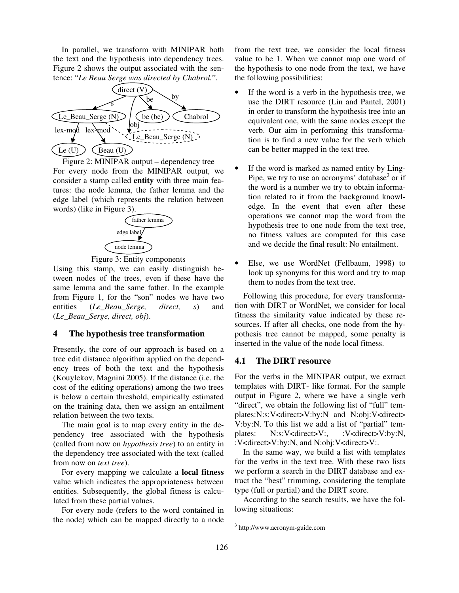In parallel, we transform with MINIPAR both the text and the hypothesis into dependency trees. Figure 2 shows the output associated with the sentence: "*Le Beau Serge was directed by Chabrol.*".



Figure 2: MINIPAR output – dependency tree For every node from the MINIPAR output, we consider a stamp called **entity** with three main features: the node lemma, the father lemma and the edge label (which represents the relation between words) (like in Figure 3).



Figure 3: Entity components

Using this stamp, we can easily distinguish between nodes of the trees, even if these have the same lemma and the same father. In the example from Figure 1, for the "son" nodes we have two entities (*Le\_Beau\_Serge, direct, s*) and (*Le\_Beau\_Serge, direct, obj*).

## **4 The hypothesis tree transformation**

Presently, the core of our approach is based on a tree edit distance algorithm applied on the dependency trees of both the text and the hypothesis (Kouylekov, Magnini 2005). If the distance (i.e. the cost of the editing operations) among the two trees is below a certain threshold, empirically estimated on the training data, then we assign an entailment relation between the two texts.

The main goal is to map every entity in the dependency tree associated with the hypothesis (called from now on *hypothesis tree*) to an entity in the dependency tree associated with the text (called from now on *text tree*).

For every mapping we calculate a **local fitness** value which indicates the appropriateness between entities. Subsequently, the global fitness is calculated from these partial values.

For every node (refers to the word contained in the node) which can be mapped directly to a node from the text tree, we consider the local fitness value to be 1. When we cannot map one word of the hypothesis to one node from the text, we have the following possibilities:

- If the word is a verb in the hypothesis tree, we use the DIRT resource (Lin and Pantel, 2001) in order to transform the hypothesis tree into an equivalent one, with the same nodes except the verb. Our aim in performing this transformation is to find a new value for the verb which can be better mapped in the text tree.
- If the word is marked as named entity by Ling-Pipe, we try to use an acronyms' database<sup>3</sup> or if the word is a number we try to obtain information related to it from the background knowledge. In the event that even after these operations we cannot map the word from the hypothesis tree to one node from the text tree, no fitness values are computed for this case and we decide the final result: No entailment.
- Else, we use WordNet (Fellbaum, 1998) to look up synonyms for this word and try to map them to nodes from the text tree.

Following this procedure, for every transformation with DIRT or WordNet, we consider for local fitness the similarity value indicated by these resources. If after all checks, one node from the hypothesis tree cannot be mapped, some penalty is inserted in the value of the node local fitness.

## **4.1 The DIRT resource**

For the verbs in the MINIPAR output, we extract templates with DIRT- like format. For the sample output in Figure 2, where we have a single verb "direct", we obtain the following list of "full" templates:N:s:V<direct>V:by:N and N:obj:V<direct> V:by:N. To this list we add a list of "partial" templates: N:s:V<direct>V:, :V<direct>V:by:N, :V<direct>V:by:N, and N:obj:V<direct>V:.

In the same way, we build a list with templates for the verbs in the text tree. With these two lists we perform a search in the DIRT database and extract the "best" trimming, considering the template type (full or partial) and the DIRT score.

According to the search results, we have the following situations:

<sup>&</sup>lt;sup>3</sup> http://www.acronym-guide.com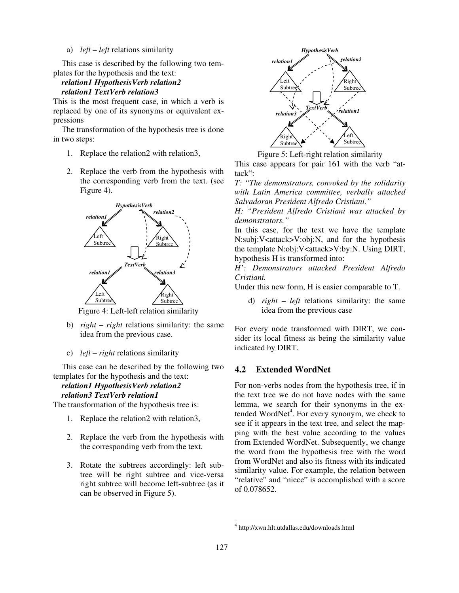a) *left – left* relations similarity

This case is described by the following two templates for the hypothesis and the text:

## *relation1 HypothesisVerb relation2 relation1 TextVerb relation3*

This is the most frequent case, in which a verb is replaced by one of its synonyms or equivalent expressions

The transformation of the hypothesis tree is done in two steps:

- 1. Replace the relation2 with relation3,
- 2. Replace the verb from the hypothesis with the corresponding verb from the text. (see Figure 4).



Figure 4: Left-left relation similarity

- b) *right – right* relations similarity: the same idea from the previous case.
- c) *left – right* relations similarity

This case can be described by the following two templates for the hypothesis and the text:

## *relation1 HypothesisVerb relation2 relation3 TextVerb relation1*

The transformation of the hypothesis tree is:

- 1. Replace the relation2 with relation3,
- 2. Replace the verb from the hypothesis with the corresponding verb from the text.
- 3. Rotate the subtrees accordingly: left subtree will be right subtree and vice-versa right subtree will become left-subtree (as it can be observed in Figure 5).



Figure 5: Left-right relation similarity

This case appears for pair 161 with the verb "attack":

*T: "The demonstrators, convoked by the solidarity with Latin America committee, verbally attacked Salvadoran President Alfredo Cristiani."*

*H: "President Alfredo Cristiani was attacked by demonstrators."*

In this case, for the text we have the template N:subj:V<attack>V:obj:N, and for the hypothesis the template N:obj:V<attack>V:by:N. Using DIRT, hypothesis H is transformed into:

*H': Demonstrators attacked President Alfredo Cristiani.*

Under this new form, H is easier comparable to T.

d) *right – left* relations similarity: the same idea from the previous case

For every node transformed with DIRT, we consider its local fitness as being the similarity value indicated by DIRT.

#### **4.2 Extended WordNet**

For non-verbs nodes from the hypothesis tree, if in the text tree we do not have nodes with the same lemma, we search for their synonyms in the extended WordNet<sup>4</sup>. For every synonym, we check to see if it appears in the text tree, and select the mapping with the best value according to the values from Extended WordNet. Subsequently, we change the word from the hypothesis tree with the word from WordNet and also its fitness with its indicated similarity value. For example, the relation between "relative" and "niece" is accomplished with a score of 0.078652.

<sup>4</sup> http://xwn.hlt.utdallas.edu/downloads.html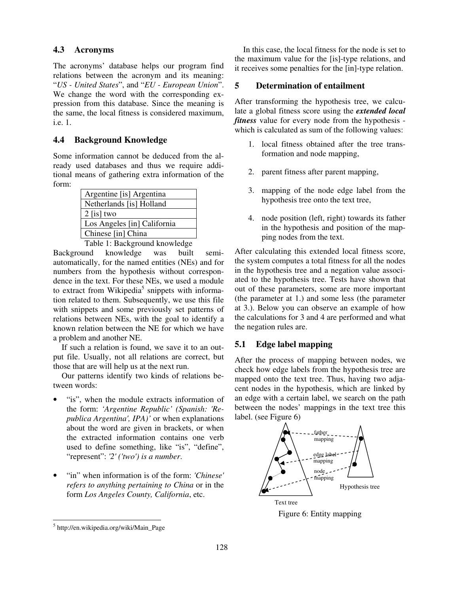## **4.3 Acronyms**

The acronyms' database helps our program find relations between the acronym and its meaning: "*US - United States*", and "*EU - European Union*". We change the word with the corresponding expression from this database. Since the meaning is the same, the local fitness is considered maximum, i.e. 1.

## **4.4 Background Knowledge**

Some information cannot be deduced from the already used databases and thus we require additional means of gathering extra information of the form:

| Argentine [is] Argentina    |
|-----------------------------|
| Netherlands [is] Holland    |
| $2$ [is] two                |
| Los Angeles [in] California |
| Chinese [in] China          |
|                             |

Table 1: Background knowledge

Background knowledge was built semiautomatically, for the named entities (NEs) and for numbers from the hypothesis without correspondence in the text. For these NEs, we used a module to extract from Wikipedia<sup>5</sup> snippets with information related to them. Subsequently, we use this file with snippets and some previously set patterns of relations between NEs, with the goal to identify a known relation between the NE for which we have a problem and another NE.

If such a relation is found, we save it to an output file. Usually, not all relations are correct, but those that are will help us at the next run.

Our patterns identify two kinds of relations between words:

- "is", when the module extracts information of the form: *'Argentine Republic' (Spanish: 'Republica Argentina', IPA)'* or when explanations about the word are given in brackets, or when the extracted information contains one verb used to define something, like "is", "define", "represent": *'2'('two') is a number*.
- "in" when information is of the form: *'Chinese' refers to anything pertaining to China* or in the form *Los Angeles County, California*, etc.

In this case, the local fitness for the node is set to the maximum value for the [is]-type relations, and it receives some penalties for the [in]-type relation.

## **5 Determination of entailment**

After transforming the hypothesis tree, we calculate a global fitness score using the *extended local fitness* value for every node from the hypothesis which is calculated as sum of the following values:

- 1. local fitness obtained after the tree transformation and node mapping,
- 2. parent fitness after parent mapping,
- 3. mapping of the node edge label from the hypothesis tree onto the text tree,
- 4. node position (left, right) towards its father in the hypothesis and position of the mapping nodes from the text.

After calculating this extended local fitness score, the system computes a total fitness for all the nodes in the hypothesis tree and a negation value associated to the hypothesis tree. Tests have shown that out of these parameters, some are more important (the parameter at 1.) and some less (the parameter at 3.). Below you can observe an example of how the calculations for 3 and 4 are performed and what the negation rules are.

#### **5.1 Edge label mapping**

After the process of mapping between nodes, we check how edge labels from the hypothesis tree are mapped onto the text tree. Thus, having two adjacent nodes in the hypothesis, which are linked by an edge with a certain label, we search on the path between the nodes' mappings in the text tree this label. (see Figure 6)



Figure 6: Entity mapping

<sup>5</sup> http://en.wikipedia.org/wiki/Main\_Page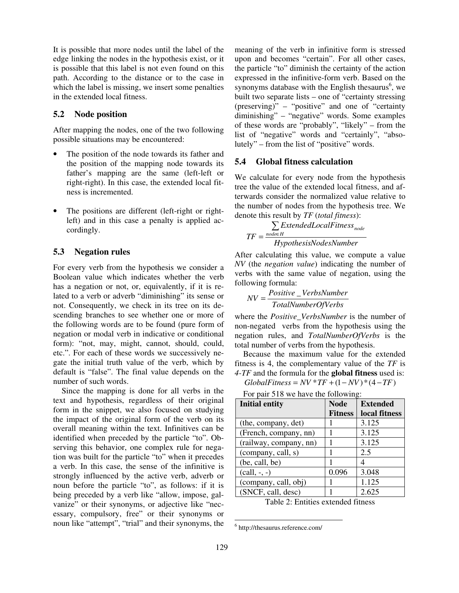It is possible that more nodes until the label of the edge linking the nodes in the hypothesis exist, or it is possible that this label is not even found on this path. According to the distance or to the case in which the label is missing, we insert some penalties in the extended local fitness.

## **5.2 Node position**

After mapping the nodes, one of the two following possible situations may be encountered:

- The position of the node towards its father and the position of the mapping node towards its father's mapping are the same (left-left or right-right). In this case, the extended local fitness is incremented.
- The positions are different (left-right or rightleft) and in this case a penalty is applied accordingly.

## **5.3 Negation rules**

For every verb from the hypothesis we consider a Boolean value which indicates whether the verb has a negation or not, or, equivalently, if it is related to a verb or adverb "diminishing" its sense or not. Consequently, we check in its tree on its descending branches to see whether one or more of the following words are to be found (pure form of negation or modal verb in indicative or conditional form): "not, may, might, cannot, should, could, etc.". For each of these words we successively negate the initial truth value of the verb, which by default is "false". The final value depends on the number of such words.

Since the mapping is done for all verbs in the text and hypothesis, regardless of their original form in the snippet, we also focused on studying the impact of the original form of the verb on its overall meaning within the text. Infinitives can be identified when preceded by the particle "to". Observing this behavior, one complex rule for negation was built for the particle "to" when it precedes a verb. In this case, the sense of the infinitive is strongly influenced by the active verb, adverb or noun before the particle "to", as follows: if it is being preceded by a verb like "allow, impose, galvanize" or their synonyms, or adjective like "necessary, compulsory, free" or their synonyms or noun like "attempt", "trial" and their synonyms, the meaning of the verb in infinitive form is stressed upon and becomes "certain". For all other cases, the particle "to" diminish the certainty of the action expressed in the infinitive-form verb. Based on the synonyms database with the English thesaurus<sup>6</sup>, we built two separate lists – one of "certainty stressing (preserving)" – "positive" and one of "certainty diminishing" – "negative" words. Some examples of these words are "probably", "likely" – from the list of "negative" words and "certainly", "absolutely" – from the list of "positive" words.

#### **5.4 Global fitness calculation**

We calculate for every node from the hypothesis tree the value of the extended local fitness, and afterwards consider the normalized value relative to the number of nodes from the hypothesis tree. We denote this result by *TF* (*total fitness*):

*HypothesisNodesNumber ExtendedLocalFitness*  $TF = \frac{node \in H}{T}$  *node Extended Local Fitness* <sub>node</sub>

After calculating this value, we compute a value *NV* (the *negation value*) indicating the number of verbs with the same value of negation, using the following formula:

$$
NV = \frac{Positive\_VerbsNumber}{TotalNumberOfVerbs}
$$

where the *Positive\_VerbsNumber* is the number of non-negated verbs from the hypothesis using the negation rules, and *TotalNumberOfVerbs* is the total number of verbs from the hypothesis.

Because the maximum value for the extended fitness is 4, the complementary value of the *TF* is *4-TF* and the formula for the **global fitness** used is:

 $GlobalFitness = NV * TF + (1 - NV) * (4 - TF)$ 

| <b>Node</b>    | <b>Extended</b> |
|----------------|-----------------|
| <b>Fitness</b> | local fitness   |
|                | 3.125           |
|                | 3.125           |
|                | 3.125           |
|                | 2.5             |
|                | 4               |
| 0.096          | 3.048           |
|                | 1.125           |
|                | 2.625           |
|                |                 |

For pair 518 we have the following:

Table 2: Entities extended fitness

<sup>6</sup> http://thesaurus.reference.com/